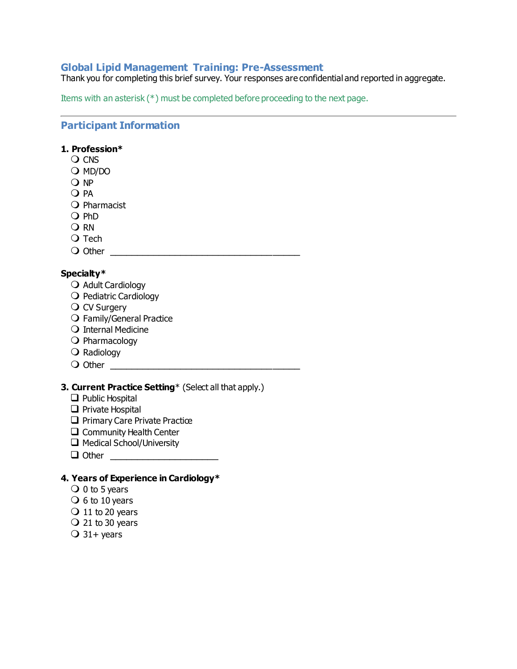# **Global Lipid Management Training: Pre-Assessment**

Thank you for completing this brief survey. Your responses are confidential and reported in aggregate.

Items with an asterisk (\*) must be completed before proceeding to the next page.

# **Participant Information**

# **1. Profession\***

- **O CNS**
- O MD/DO
- O NP
- O PA
- O Pharmacist
- $O$  PhD
- O RN
- $\Omega$  Tech
- Other \_\_\_\_\_\_\_\_\_\_\_\_\_\_\_\_\_\_\_\_\_\_\_\_\_\_\_\_\_\_\_\_\_\_\_

# **Specialty\***

- O Adult Cardiology
- O Pediatric Cardiology
- O CV Surgery
- O Family/General Practice
- O Internal Medicine
- $\bigcirc$  Pharmacology
- O Radiology
- $\bigcirc$  Other  $\bigcirc$

# **3. Current Practice Setting**\* (Select all that apply.)

- ❑ Public Hospital
- ❑ Private Hospital
- □ Primary Care Private Practice
- ❑ Community Health Center
- ❑ Medical School/University
- ❑ Other \_\_\_\_\_\_\_\_\_\_\_\_\_\_\_\_\_\_\_\_

# **4. Years of Experience in Cardiology\***

- $\overline{O}$  0 to 5 years
- $\bigcirc$  6 to 10 years
- $\bigcirc$  11 to 20 years
- $\bigcirc$  21 to 30 years
- $\overline{O}$  31+ years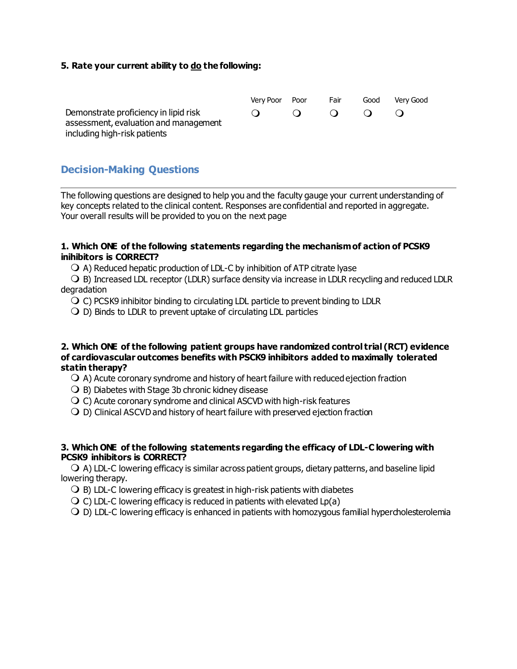#### **5. Rate your current ability to do the following:**

|                                                                                | Verv Poor | Poor       | Fair      | Good      | Verv Good |
|--------------------------------------------------------------------------------|-----------|------------|-----------|-----------|-----------|
| Demonstrate proficiency in lipid risk<br>assessment, evaluation and management |           | $\bigcirc$ | $\bullet$ | $\bullet$ |           |
| including high-risk patients                                                   |           |            |           |           |           |

# **Decision-Making Questions**

The following questions are designed to help you and the faculty gauge your current understanding of key concepts related to the clinical content. Responses are confidential and reported in aggregate. Your overall results will be provided to you on the next page

#### **1. Which ONE of the following statements regarding the mechanism of action of PCSK9 inihibitors is CORRECT?**

 $\bigcirc$  A) Reduced hepatic production of LDL-C by inhibition of ATP citrate lyase

 $\bigcirc$  B) Increased LDL receptor (LDLR) surface density via increase in LDLR recycling and reduced LDLR degradation

C) PCSK9 inhibitor binding to circulating LDL particle to prevent binding to LDLR

 $\bigcirc$  D) Binds to LDLR to prevent uptake of circulating LDL particles

#### **2. Which ONE of the following patient groups have randomized control trial (RCT) evidence of cardiovascular outcomes benefits with PSCK9 inhibitors added to maximally tolerated statin therapy?**

- $\bigcirc$  A) Acute coronary syndrome and history of heart failure with reduced ejection fraction
- $\bigcirc$  B) Diabetes with Stage 3b chronic kidney disease
- $\overline{O}$  C) Acute coronary syndrome and clinical ASCVD with high-risk features
- $\bigcirc$  D) Clinical ASCVD and history of heart failure with preserved ejection fraction

#### **3. Which ONE of the following statements regarding the efficacy of LDL-C lowering with PCSK9 inhibitors is CORRECT?**

 $\bigcirc$  A) LDL-C lowering efficacy is similar across patient groups, dietary patterns, and baseline lipid lowering therapy.

- $\bigcirc$  B) LDL-C lowering efficacy is greatest in high-risk patients with diabetes
- $\bigcirc$  C) LDL-C lowering efficacy is reduced in patients with elevated Lp(a)
- D) LDL-C lowering efficacy is enhanced in patients with homozygous familial hypercholesterolemia